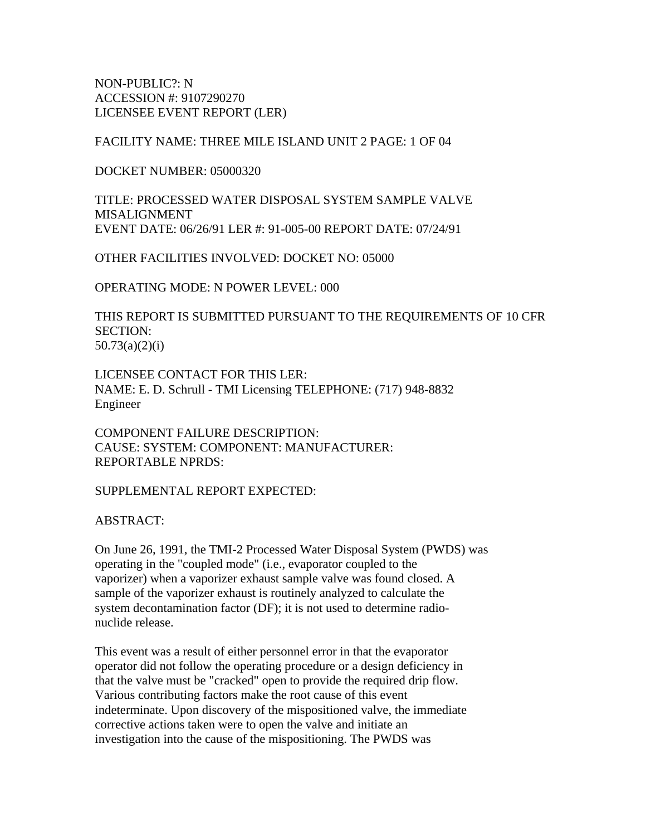NON-PUBLIC?: N ACCESSION #: 9107290270 LICENSEE EVENT REPORT (LER)

FACILITY NAME: THREE MILE ISLAND UNIT 2 PAGE: 1 OF 04

DOCKET NUMBER: 05000320

TITLE: PROCESSED WATER DISPOSAL SYSTEM SAMPLE VALVE MISALIGNMENT EVENT DATE: 06/26/91 LER #: 91-005-00 REPORT DATE: 07/24/91

OTHER FACILITIES INVOLVED: DOCKET NO: 05000

OPERATING MODE: N POWER LEVEL: 000

THIS REPORT IS SUBMITTED PURSUANT TO THE REQUIREMENTS OF 10 CFR SECTION: 50.73(a)(2)(i)

LICENSEE CONTACT FOR THIS LER: NAME: E. D. Schrull - TMI Licensing TELEPHONE: (717) 948-8832 Engineer

COMPONENT FAILURE DESCRIPTION: CAUSE: SYSTEM: COMPONENT: MANUFACTURER: REPORTABLE NPRDS:

SUPPLEMENTAL REPORT EXPECTED:

ABSTRACT:

On June 26, 1991, the TMI-2 Processed Water Disposal System (PWDS) was operating in the "coupled mode" (i.e., evaporator coupled to the vaporizer) when a vaporizer exhaust sample valve was found closed. A sample of the vaporizer exhaust is routinely analyzed to calculate the system decontamination factor (DF); it is not used to determine radionuclide release.

This event was a result of either personnel error in that the evaporator operator did not follow the operating procedure or a design deficiency in that the valve must be "cracked" open to provide the required drip flow. Various contributing factors make the root cause of this event indeterminate. Upon discovery of the mispositioned valve, the immediate corrective actions taken were to open the valve and initiate an investigation into the cause of the mispositioning. The PWDS was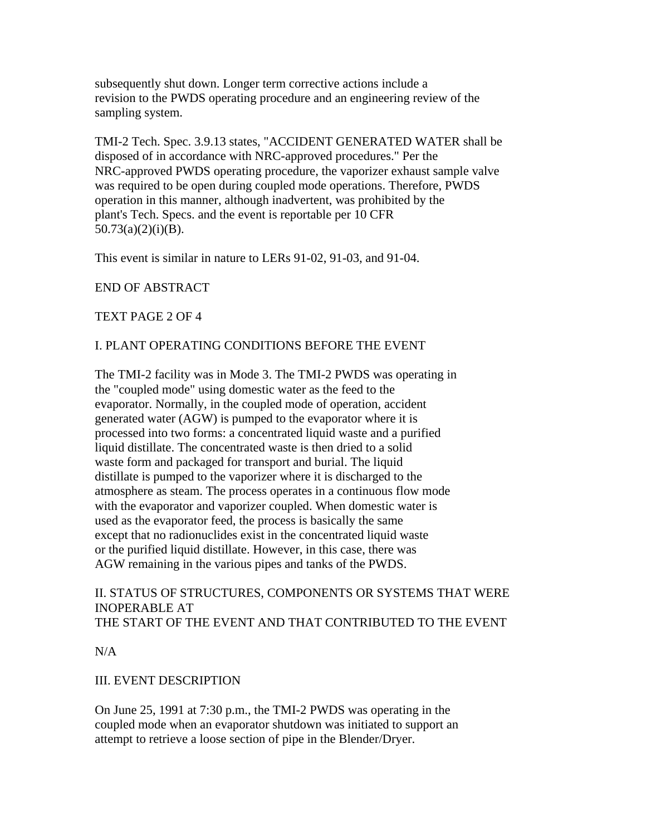subsequently shut down. Longer term corrective actions include a revision to the PWDS operating procedure and an engineering review of the sampling system.

TMI-2 Tech. Spec. 3.9.13 states, "ACCIDENT GENERATED WATER shall be disposed of in accordance with NRC-approved procedures." Per the NRC-approved PWDS operating procedure, the vaporizer exhaust sample valve was required to be open during coupled mode operations. Therefore, PWDS operation in this manner, although inadvertent, was prohibited by the plant's Tech. Specs. and the event is reportable per 10 CFR  $50.73(a)(2)(i)(B)$ .

This event is similar in nature to LERs 91-02, 91-03, and 91-04.

# END OF ABSTRACT

TEXT PAGE 2 OF 4

## I. PLANT OPERATING CONDITIONS BEFORE THE EVENT

The TMI-2 facility was in Mode 3. The TMI-2 PWDS was operating in the "coupled mode" using domestic water as the feed to the evaporator. Normally, in the coupled mode of operation, accident generated water (AGW) is pumped to the evaporator where it is processed into two forms: a concentrated liquid waste and a purified liquid distillate. The concentrated waste is then dried to a solid waste form and packaged for transport and burial. The liquid distillate is pumped to the vaporizer where it is discharged to the atmosphere as steam. The process operates in a continuous flow mode with the evaporator and vaporizer coupled. When domestic water is used as the evaporator feed, the process is basically the same except that no radionuclides exist in the concentrated liquid waste or the purified liquid distillate. However, in this case, there was AGW remaining in the various pipes and tanks of the PWDS.

#### II. STATUS OF STRUCTURES, COMPONENTS OR SYSTEMS THAT WERE INOPERABLE AT THE START OF THE EVENT AND THAT CONTRIBUTED TO THE EVENT

N/A

# III. EVENT DESCRIPTION

On June 25, 1991 at 7:30 p.m., the TMI-2 PWDS was operating in the coupled mode when an evaporator shutdown was initiated to support an attempt to retrieve a loose section of pipe in the Blender/Dryer.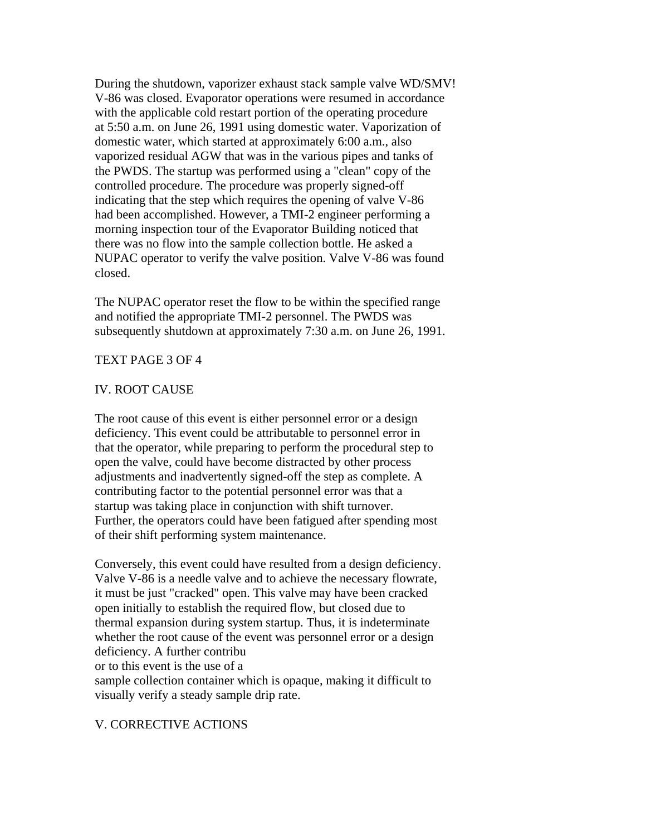During the shutdown, vaporizer exhaust stack sample valve WD/SMV! V-86 was closed. Evaporator operations were resumed in accordance with the applicable cold restart portion of the operating procedure at 5:50 a.m. on June 26, 1991 using domestic water. Vaporization of domestic water, which started at approximately 6:00 a.m., also vaporized residual AGW that was in the various pipes and tanks of the PWDS. The startup was performed using a "clean" copy of the controlled procedure. The procedure was properly signed-off indicating that the step which requires the opening of valve V-86 had been accomplished. However, a TMI-2 engineer performing a morning inspection tour of the Evaporator Building noticed that there was no flow into the sample collection bottle. He asked a NUPAC operator to verify the valve position. Valve V-86 was found closed.

The NUPAC operator reset the flow to be within the specified range and notified the appropriate TMI-2 personnel. The PWDS was subsequently shutdown at approximately 7:30 a.m. on June 26, 1991.

#### TEXT PAGE 3 OF 4

## IV. ROOT CAUSE

The root cause of this event is either personnel error or a design deficiency. This event could be attributable to personnel error in that the operator, while preparing to perform the procedural step to open the valve, could have become distracted by other process adjustments and inadvertently signed-off the step as complete. A contributing factor to the potential personnel error was that a startup was taking place in conjunction with shift turnover. Further, the operators could have been fatigued after spending most of their shift performing system maintenance.

Conversely, this event could have resulted from a design deficiency. Valve V-86 is a needle valve and to achieve the necessary flowrate, it must be just "cracked" open. This valve may have been cracked open initially to establish the required flow, but closed due to thermal expansion during system startup. Thus, it is indeterminate whether the root cause of the event was personnel error or a design deficiency. A further contribu or to this event is the use of a sample collection container which is opaque, making it difficult to visually verify a steady sample drip rate.

#### V. CORRECTIVE ACTIONS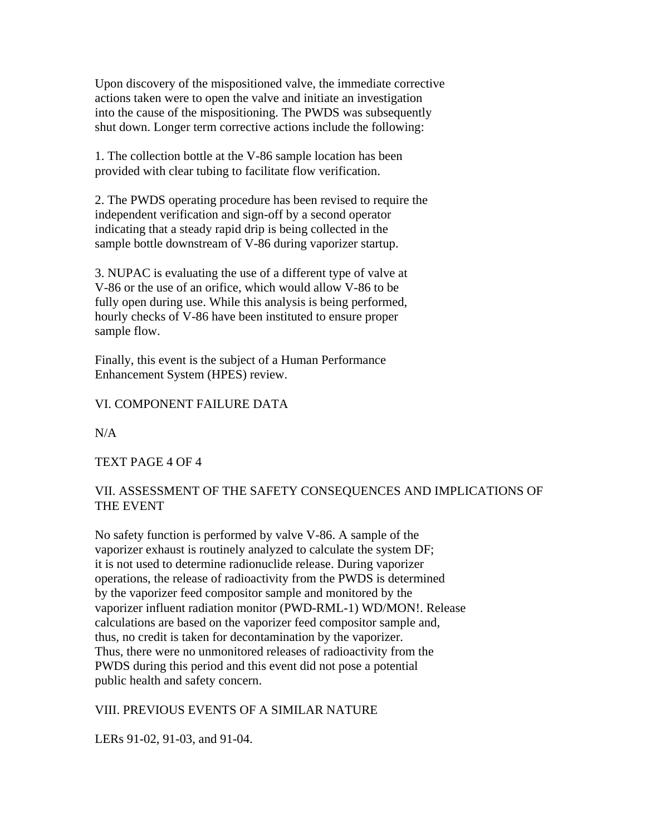Upon discovery of the mispositioned valve, the immediate corrective actions taken were to open the valve and initiate an investigation into the cause of the mispositioning. The PWDS was subsequently shut down. Longer term corrective actions include the following:

1. The collection bottle at the V-86 sample location has been provided with clear tubing to facilitate flow verification.

2. The PWDS operating procedure has been revised to require the independent verification and sign-off by a second operator indicating that a steady rapid drip is being collected in the sample bottle downstream of V-86 during vaporizer startup.

3. NUPAC is evaluating the use of a different type of valve at V-86 or the use of an orifice, which would allow V-86 to be fully open during use. While this analysis is being performed, hourly checks of V-86 have been instituted to ensure proper sample flow.

Finally, this event is the subject of a Human Performance Enhancement System (HPES) review.

## VI. COMPONENT FAILURE DATA

 $N/A$ 

## TEXT PAGE 4 OF 4

# VII. ASSESSMENT OF THE SAFETY CONSEQUENCES AND IMPLICATIONS OF THE EVENT

No safety function is performed by valve V-86. A sample of the vaporizer exhaust is routinely analyzed to calculate the system DF; it is not used to determine radionuclide release. During vaporizer operations, the release of radioactivity from the PWDS is determined by the vaporizer feed compositor sample and monitored by the vaporizer influent radiation monitor (PWD-RML-1) WD/MON!. Release calculations are based on the vaporizer feed compositor sample and, thus, no credit is taken for decontamination by the vaporizer. Thus, there were no unmonitored releases of radioactivity from the PWDS during this period and this event did not pose a potential public health and safety concern.

## VIII. PREVIOUS EVENTS OF A SIMILAR NATURE

LERs 91-02, 91-03, and 91-04.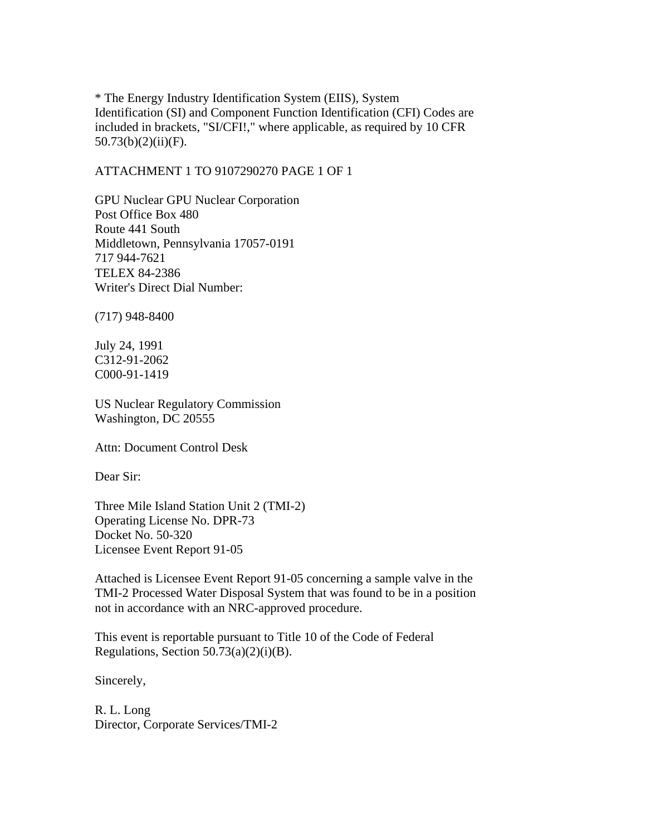\* The Energy Industry Identification System (EIIS), System Identification (SI) and Component Function Identification (CFI) Codes are included in brackets, "SI/CFI!," where applicable, as required by 10 CFR  $50.73(b)(2)(ii)(F)$ .

ATTACHMENT 1 TO 9107290270 PAGE 1 OF 1

GPU Nuclear GPU Nuclear Corporation Post Office Box 480 Route 441 South Middletown, Pennsylvania 17057-0191 717 944-7621 TELEX 84-2386 Writer's Direct Dial Number:

(717) 948-8400

July 24, 1991 C312-91-2062 C000-91-1419

US Nuclear Regulatory Commission Washington, DC 20555

Attn: Document Control Desk

Dear Sir:

Three Mile Island Station Unit 2 (TMI-2) Operating License No. DPR-73 Docket No. 50-320 Licensee Event Report 91-05

Attached is Licensee Event Report 91-05 concerning a sample valve in the TMI-2 Processed Water Disposal System that was found to be in a position not in accordance with an NRC-approved procedure.

This event is reportable pursuant to Title 10 of the Code of Federal Regulations, Section  $50.73(a)(2)(i)(B)$ .

Sincerely,

R. L. Long Director, Corporate Services/TMI-2